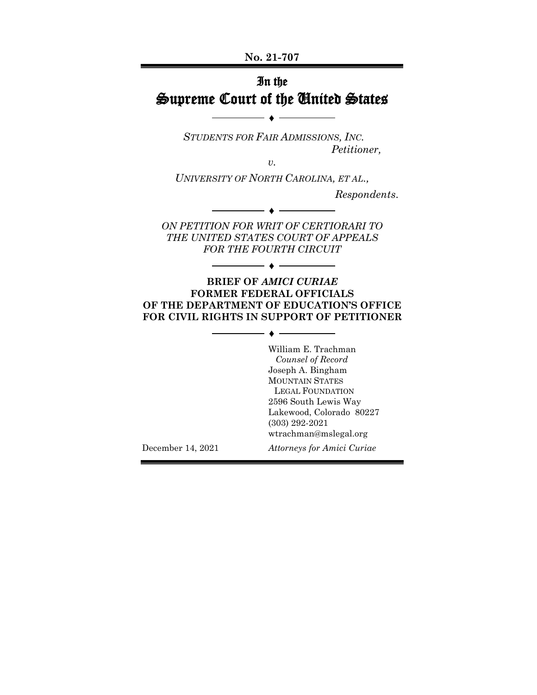# In the Supreme Court of the United States

♦

*STUDENTS FOR FAIR ADMISSIONS, INC. Petitioner,*

*v.*

*UNIVERSITY OF NORTH CAROLINA, ET AL.,*

*Respondents*.

*ON PETITION FOR WRIT OF CERTIORARI TO THE UNITED STATES COURT OF APPEALS FOR THE FOURTH CIRCUIT*

♦

♦

#### **BRIEF OF** *AMICI CURIAE* **FORMER FEDERAL OFFICIALS OF THE DEPARTMENT OF EDUCATION'S OFFICE FOR CIVIL RIGHTS IN SUPPORT OF PETITIONER**

♦

William E. Trachman *Counsel of Record* Joseph A. Bingham MOUNTAIN STATES LEGAL FOUNDATION 2596 South Lewis Way Lakewood, Colorado 80227 (303) 292-2021 wtrachman@mslegal.org

December 14, 2021 *Attorneys for Amici Curiae*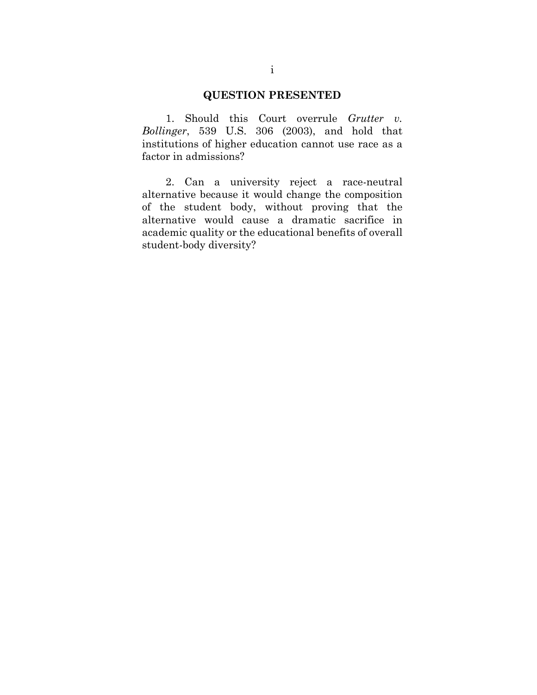# **QUESTION PRESENTED**

1. Should this Court overrule *Grutter v. Bollinger*, 539 U.S. 306 (2003), and hold that institutions of higher education cannot use race as a factor in admissions?

2. Can a university reject a race-neutral alternative because it would change the composition of the student body, without proving that the alternative would cause a dramatic sacrifice in academic quality or the educational benefits of overall student-body diversity?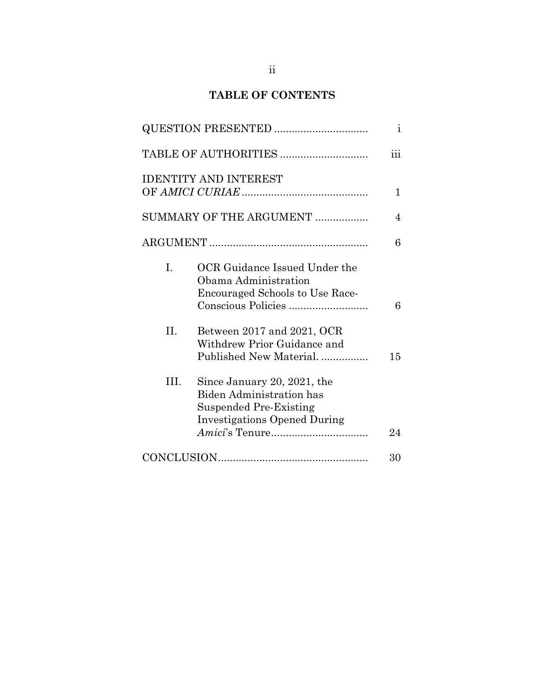# **TABLE OF CONTENTS**

|      |                                                                                                                                 | $\mathbf{i}$            |
|------|---------------------------------------------------------------------------------------------------------------------------------|-------------------------|
|      |                                                                                                                                 | $\overline{\text{iii}}$ |
|      | <b>IDENTITY AND INTEREST</b>                                                                                                    | $\mathbf{1}$            |
|      | SUMMARY OF THE ARGUMENT                                                                                                         | 4                       |
|      |                                                                                                                                 | 6                       |
| L.   | OCR Guidance Issued Under the<br>Obama Administration<br><b>Encouraged Schools to Use Race-</b>                                 | 6                       |
| II.  | Between 2017 and 2021, OCR<br>Withdrew Prior Guidance and<br>Published New Material                                             | 15                      |
| III. | Since January 20, 2021, the<br><b>Biden Administration has</b><br>Suspended Pre-Existing<br><b>Investigations Opened During</b> | 24                      |
|      |                                                                                                                                 | 30                      |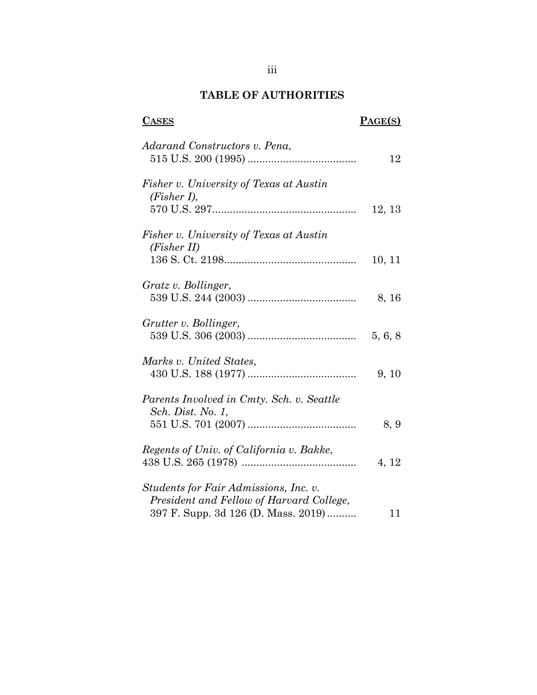# **TABLE OF AUTHORITIES**

# **CASES PAGE(S)**

| Adarand Constructors v. Pena,                                                                                            | 12      |
|--------------------------------------------------------------------------------------------------------------------------|---------|
| Fisher v. University of Texas at Austin<br>$(Fisher I)$ ,                                                                | 12, 13  |
| Fisher v. University of Texas at Austin<br>(Fisher II)                                                                   | 10, 11  |
| Gratz v. Bollinger,                                                                                                      | 8, 16   |
| Grutter v. Bollinger,                                                                                                    | 5, 6, 8 |
| Marks v. United States,                                                                                                  | 9, 10   |
| Parents Involved in Cmty. Sch. v. Seattle<br><i>Sch. Dist. No. 1,</i>                                                    | 8, 9    |
| Regents of Univ. of California v. Bakke,                                                                                 | 4, 12   |
| Students for Fair Admissions, Inc. v.<br>President and Fellow of Harvard College,<br>397 F. Supp. 3d 126 (D. Mass. 2019) | 11      |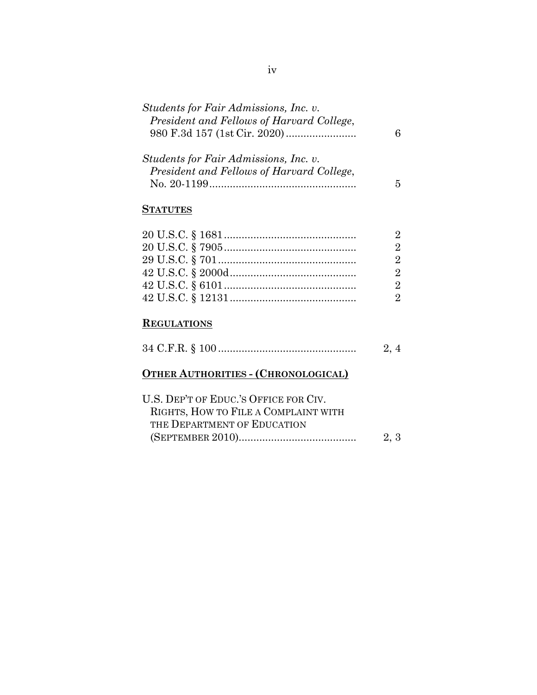| Students for Fair Admissions, Inc. v.     |  |
|-------------------------------------------|--|
| President and Fellows of Harvard College, |  |
|                                           |  |
|                                           |  |
| Students for Fair Admissions, Inc. v.     |  |
| President and Fellows of Harvard College, |  |
| No. 20-1199                               |  |

# **STATUTES**

# **REGULATIONS**

|                                                                                                              | 2, 4 |
|--------------------------------------------------------------------------------------------------------------|------|
| <b>OTHER AUTHORITIES - (CHRONOLOGICAL)</b>                                                                   |      |
| U.S. DEP'T OF EDUC.'S OFFICE FOR CIV.<br>RIGHTS, HOW TO FILE A COMPLAINT WITH<br>THE DEPARTMENT OF EDUCATION |      |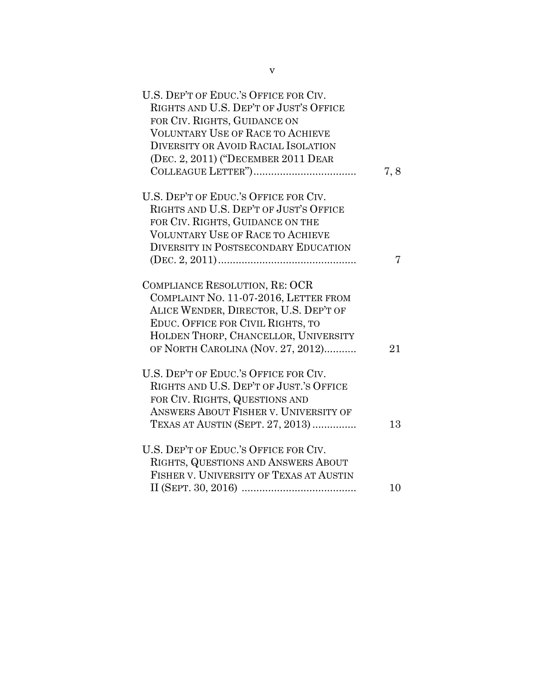| U.S. DEP'T OF EDUC.'S OFFICE FOR CIV.<br>RIGHTS AND U.S. DEP'T OF JUST'S OFFICE<br>FOR CIV. RIGHTS, GUIDANCE ON<br><b>VOLUNTARY USE OF RACE TO ACHIEVE</b><br>DIVERSITY OR AVOID RACIAL ISOLATION<br>(DEC. 2, 2011) ("DECEMBER 2011 DEAR | 7,8 |
|------------------------------------------------------------------------------------------------------------------------------------------------------------------------------------------------------------------------------------------|-----|
| U.S. DEP'T OF EDUC.'S OFFICE FOR CIV.                                                                                                                                                                                                    |     |
| RIGHTS AND U.S. DEP'T OF JUST'S OFFICE                                                                                                                                                                                                   |     |
| FOR CIV. RIGHTS, GUIDANCE ON THE                                                                                                                                                                                                         |     |
| <b>VOLUNTARY USE OF RACE TO ACHIEVE</b>                                                                                                                                                                                                  |     |
| <b>DIVERSITY IN POSTSECONDARY EDUCATION</b>                                                                                                                                                                                              |     |
|                                                                                                                                                                                                                                          | 7   |
| COMPLIANCE RESOLUTION, RE: OCR<br>COMPLAINT NO. 11-07-2016, LETTER FROM<br>ALICE WENDER, DIRECTOR, U.S. DEP'T OF<br>EDUC. OFFICE FOR CIVIL RIGHTS, TO<br>HOLDEN THORP, CHANCELLOR, UNIVERSITY<br>OF NORTH CAROLINA (NOV. 27, 2012)       | 21  |
|                                                                                                                                                                                                                                          |     |
| U.S. DEP'T OF EDUC.'S OFFICE FOR CIV.<br>RIGHTS AND U.S. DEP'T OF JUST.'S OFFICE<br>FOR CIV. RIGHTS, QUESTIONS AND<br>ANSWERS ABOUT FISHER V. UNIVERSITY OF<br>TEXAS AT AUSTIN (SEPT. 27, 2013)                                          | 13  |
| U.S. DEP'T OF EDUC.'S OFFICE FOR CIV.<br>RIGHTS, QUESTIONS AND ANSWERS ABOUT<br>FISHER V. UNIVERSITY OF TEXAS AT AUSTIN                                                                                                                  |     |
|                                                                                                                                                                                                                                          | 10  |
|                                                                                                                                                                                                                                          |     |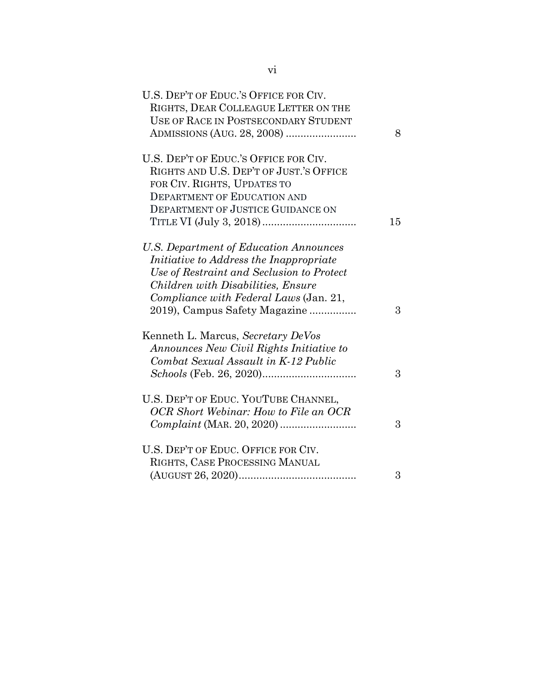| U.S. DEP'T OF EDUC.'S OFFICE FOR CIV.<br>RIGHTS, DEAR COLLEAGUE LETTER ON THE<br>USE OF RACE IN POSTSECONDARY STUDENT | 8  |
|-----------------------------------------------------------------------------------------------------------------------|----|
| U.S. DEP'T OF EDUC.'S OFFICE FOR CIV.                                                                                 |    |
| RIGHTS AND U.S. DEP'T OF JUST.'S OFFICE                                                                               |    |
| FOR CIV. RIGHTS, UPDATES TO                                                                                           |    |
| <b>DEPARTMENT OF EDUCATION AND</b>                                                                                    |    |
| <b>DEPARTMENT OF JUSTICE GUIDANCE ON</b>                                                                              | 15 |
|                                                                                                                       |    |
| U.S. Department of Education Announces                                                                                |    |
| Initiative to Address the Inappropriate                                                                               |    |
| Use of Restraint and Seclusion to Protect                                                                             |    |
| Children with Disabilities, Ensure                                                                                    |    |
| Compliance with Federal Laws (Jan. 21,                                                                                |    |
| 2019), Campus Safety Magazine                                                                                         | 3  |
| Kenneth L. Marcus, Secretary DeVos                                                                                    |    |
| Announces New Civil Rights Initiative to                                                                              |    |
| Combat Sexual Assault in K-12 Public                                                                                  |    |
|                                                                                                                       | 3  |
| U.S. DEP'T OF EDUC. YOUTUBE CHANNEL,                                                                                  |    |
| <b>OCR</b> Short Webinar: How to File an OCR                                                                          |    |
|                                                                                                                       | 3  |
| U.S. DEP'T OF EDUC. OFFICE FOR CIV.                                                                                   |    |
| RIGHTS, CASE PROCESSING MANUAL                                                                                        |    |
|                                                                                                                       | 3  |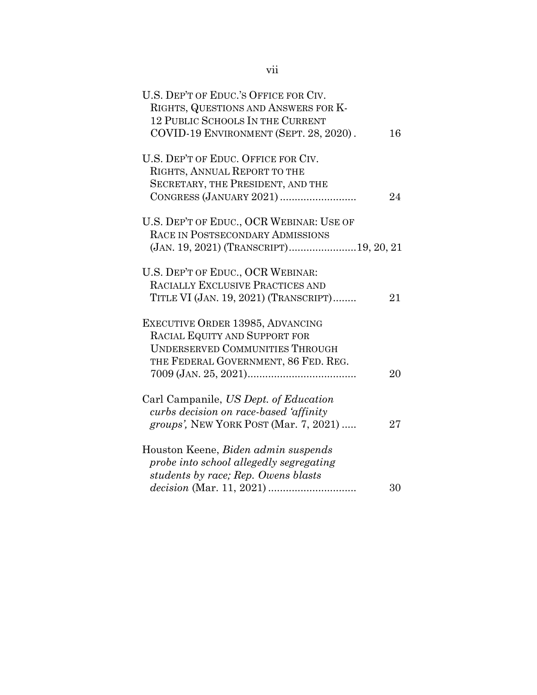| U.S. DEP'T OF EDUC.'S OFFICE FOR CIV.                                |    |
|----------------------------------------------------------------------|----|
| RIGHTS, QUESTIONS AND ANSWERS FOR K-                                 |    |
| <b>12 PUBLIC SCHOOLS IN THE CURRENT</b>                              |    |
| COVID-19 ENVIRONMENT (SEPT. 28, 2020).                               | 16 |
|                                                                      |    |
| U.S. DEP'T OF EDUC. OFFICE FOR CIV.                                  |    |
| RIGHTS, ANNUAL REPORT TO THE                                         |    |
| SECRETARY, THE PRESIDENT, AND THE                                    |    |
|                                                                      | 24 |
|                                                                      |    |
| U.S. DEP'T OF EDUC., OCR WEBINAR: USE OF                             |    |
| RACE IN POSTSECONDARY ADMISSIONS                                     |    |
|                                                                      |    |
|                                                                      |    |
| U.S. DEP'T OF EDUC., OCR WEBINAR:                                    |    |
| RACIALLY EXCLUSIVE PRACTICES AND                                     |    |
| TITLE VI (JAN. 19, 2021) (TRANSCRIPT)                                | 21 |
| EXECUTIVE ORDER 13985, ADVANCING                                     |    |
| RACIAL EQUITY AND SUPPORT FOR                                        |    |
| <b>UNDERSERVED COMMUNITIES THROUGH</b>                               |    |
|                                                                      |    |
| THE FEDERAL GOVERNMENT, 86 FED. REG.                                 |    |
|                                                                      | 20 |
| Carl Campanile, US Dept. of Education                                |    |
|                                                                      |    |
| curbs decision on race-based 'affinity                               |    |
| <i>groups'</i> , NEW YORK POST (Mar. 7, 2021)                        | 27 |
| Houston Keene, Biden admin suspends                                  |    |
| probe into school allegedly segregating                              |    |
| students by race; Rep. Owens blasts                                  |    |
|                                                                      | 30 |
| $decision (Mar. 11, 2021) \dots \dots \dots \dots \dots \dots \dots$ |    |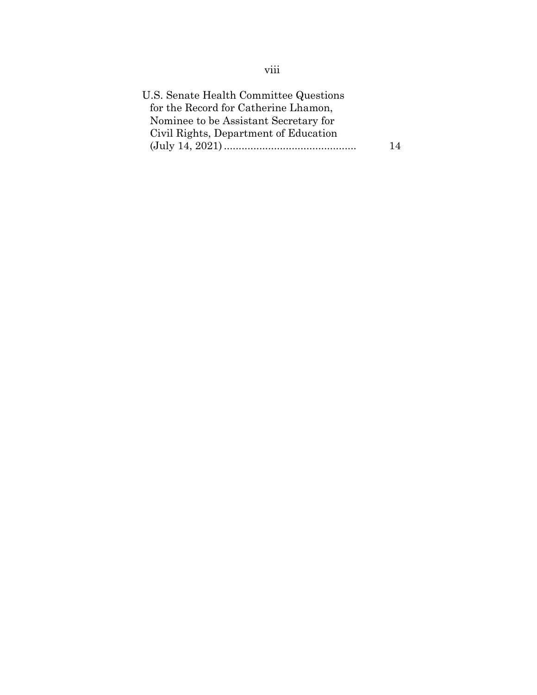| U.S. Senate Health Committee Questions |    |
|----------------------------------------|----|
| for the Record for Catherine Lhamon,   |    |
| Nominee to be Assistant Secretary for  |    |
| Civil Rights, Department of Education  |    |
|                                        | 14 |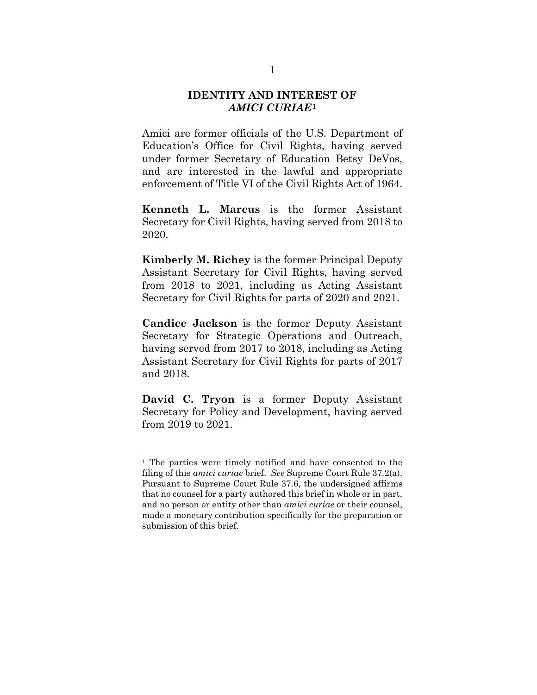## **IDENTITY AND INTEREST OF**  *AMICI CURIAE***[1](#page-9-0)**

Amici are former officials of the U.S. Department of Education's Office for Civil Rights, having served under former Secretary of Education Betsy DeVos, and are interested in the lawful and appropriate enforcement of Title VI of the Civil Rights Act of 1964.

**Kenneth L. Marcus** is the former Assistant Secretary for Civil Rights, having served from 2018 to 2020.

**Kimberly M. Richey** is the former Principal Deputy Assistant Secretary for Civil Rights, having served from 2018 to 2021, including as Acting Assistant Secretary for Civil Rights for parts of 2020 and 2021.

**Candice Jackson** is the former Deputy Assistant Secretary for Strategic Operations and Outreach, having served from 2017 to 2018, including as Acting Assistant Secretary for Civil Rights for parts of 2017 and 2018.

**David C. Tryon** is a former Deputy Assistant Secretary for Policy and Development, having served from 2019 to 2021.

<span id="page-9-0"></span><sup>1</sup> The parties were timely notified and have consented to the filing of this *amici curiae* brief. *See* Supreme Court Rule 37.2(a). Pursuant to Supreme Court Rule 37.6, the undersigned affirms that no counsel for a party authored this brief in whole or in part, and no person or entity other than *amici curiae* or their counsel, made a monetary contribution specifically for the preparation or submission of this brief.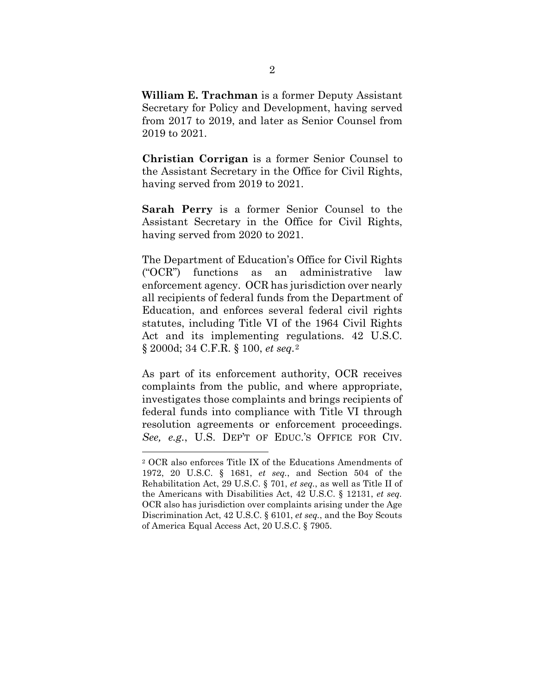**William E. Trachman** is a former Deputy Assistant Secretary for Policy and Development, having served from 2017 to 2019, and later as Senior Counsel from 2019 to 2021.

**Christian Corrigan** is a former Senior Counsel to the Assistant Secretary in the Office for Civil Rights, having served from 2019 to 2021.

**Sarah Perry** is a former Senior Counsel to the Assistant Secretary in the Office for Civil Rights, having served from 2020 to 2021.

The Department of Education's Office for Civil Rights ("OCR") functions as an administrative law enforcement agency. OCR has jurisdiction over nearly all recipients of federal funds from the Department of Education, and enforces several federal civil rights statutes, including Title VI of the 1964 Civil Rights Act and its implementing regulations. 42 U.S.C. § 2000d; 34 C.F.R. § 100, *et seq.*[2](#page-10-0)

As part of its enforcement authority, OCR receives complaints from the public, and where appropriate, investigates those complaints and brings recipients of federal funds into compliance with Title VI through resolution agreements or enforcement proceedings. *See, e.g.*, U.S. DEP'T OF EDUC.'S OFFICE FOR CIV.

<span id="page-10-0"></span><sup>2</sup> OCR also enforces Title IX of the Educations Amendments of 1972, 20 U.S.C. § 1681, *et seq.*, and Section 504 of the Rehabilitation Act, 29 U.S.C. § 701, *et seq.*, as well as Title II of the Americans with Disabilities Act, 42 U.S.C. § 12131, *et seq.* OCR also has jurisdiction over complaints arising under the Age Discrimination Act, 42 U.S.C. § 6101, *et seq.*, and the Boy Scouts of America Equal Access Act, 20 U.S.C. § 7905.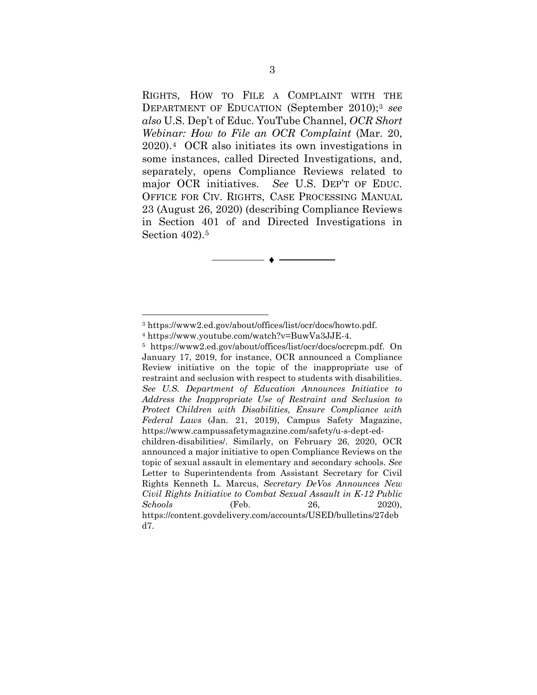RIGHTS, HOW TO FILE A COMPLAINT WITH THE DEPARTMENT OF EDUCATION (September 2010);[3](#page-11-0) *see also* U.S. Dep't of Educ. YouTube Channel, *OCR Short Webinar: How to File an OCR Complaint* (Mar. 20, 2020).[4](#page-11-1) OCR also initiates its own investigations in some instances, called Directed Investigations, and, separately, opens Compliance Reviews related to major OCR initiatives. *See* U.S. DEP'T OF EDUC. OFFICE FOR CIV. RIGHTS, CASE PROCESSING MANUAL 23 (August 26, 2020) (describing Compliance Reviews in Section 401 of and Directed Investigations in Section 402).[5](#page-11-2)

♦

<span id="page-11-1"></span><span id="page-11-0"></span><sup>3</sup> https://www2.ed.gov/about/offices/list/ocr/docs/howto.pdf. 4 https://www.youtube.com/watch?v=BuwVa3JJE-4.

<span id="page-11-2"></span><sup>5</sup> https://www2.ed.gov/about/offices/list/ocr/docs/ocrcpm.pdf. On January 17, 2019, for instance, OCR announced a Compliance Review initiative on the topic of the inappropriate use of restraint and seclusion with respect to students with disabilities. *See U.S. Department of Education Announces Initiative to Address the Inappropriate Use of Restraint and Seclusion to Protect Children with Disabilities, Ensure Compliance with Federal Laws* (Jan. 21, 2019), Campus Safety Magazine, https://www.campussafetymagazine.com/safety/u-s-dept-edchildren-disabilities/. Similarly, on February 26, 2020, OCR announced a major initiative to open Compliance Reviews on the topic of sexual assault in elementary and secondary schools. *See* Letter to Superintendents from Assistant Secretary for Civil Rights Kenneth L. Marcus, *Secretary DeVos Announces New Civil Rights Initiative to Combat Sexual Assault in K-12 Public Schools* (Feb. 26, 2020),

https://content.govdelivery.com/accounts/USED/bulletins/27deb d7.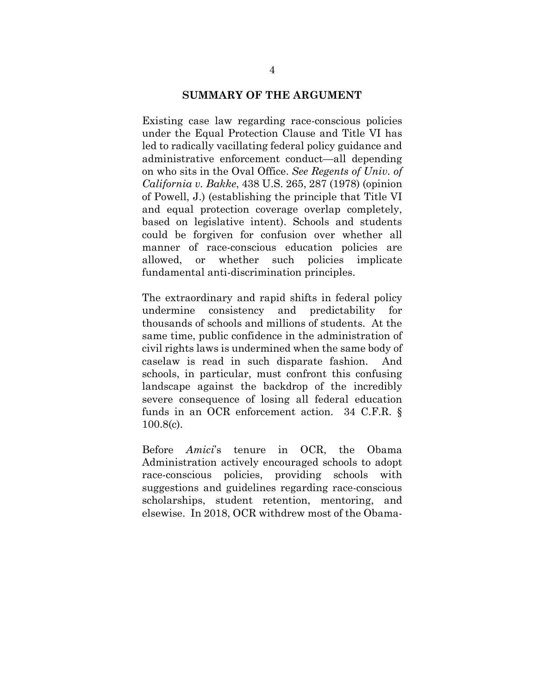#### **SUMMARY OF THE ARGUMENT**

Existing case law regarding race-conscious policies under the Equal Protection Clause and Title VI has led to radically vacillating federal policy guidance and administrative enforcement conduct—all depending on who sits in the Oval Office. *See Regents of Univ. of California v. Bakke*, 438 U.S. 265, 287 (1978) (opinion of Powell, J.) (establishing the principle that Title VI and equal protection coverage overlap completely, based on legislative intent). Schools and students could be forgiven for confusion over whether all manner of race-conscious education policies are allowed, or whether such policies implicate fundamental anti-discrimination principles.

The extraordinary and rapid shifts in federal policy undermine consistency and predictability for thousands of schools and millions of students. At the same time, public confidence in the administration of civil rights laws is undermined when the same body of caselaw is read in such disparate fashion. And schools, in particular, must confront this confusing landscape against the backdrop of the incredibly severe consequence of losing all federal education funds in an OCR enforcement action. 34 C.F.R. § 100.8(c).

Before *Amici*'s tenure in OCR, the Obama Administration actively encouraged schools to adopt race-conscious policies, providing schools with suggestions and guidelines regarding race-conscious scholarships, student retention, mentoring, and elsewise. In 2018, OCR withdrew most of the Obama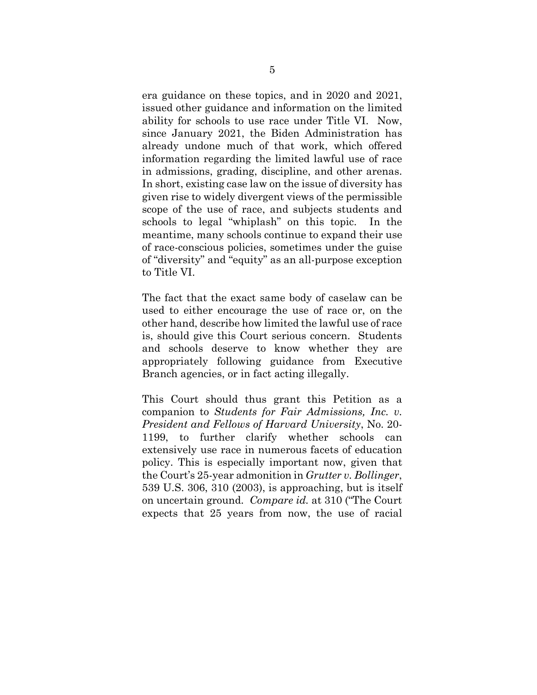era guidance on these topics, and in 2020 and 2021, issued other guidance and information on the limited ability for schools to use race under Title VI. Now, since January 2021, the Biden Administration has already undone much of that work, which offered information regarding the limited lawful use of race in admissions, grading, discipline, and other arenas. In short, existing case law on the issue of diversity has given rise to widely divergent views of the permissible scope of the use of race, and subjects students and schools to legal "whiplash" on this topic. In the meantime, many schools continue to expand their use of race-conscious policies, sometimes under the guise of "diversity" and "equity" as an all-purpose exception to Title VI.

The fact that the exact same body of caselaw can be used to either encourage the use of race or, on the other hand, describe how limited the lawful use of race is, should give this Court serious concern. Students and schools deserve to know whether they are appropriately following guidance from Executive Branch agencies, or in fact acting illegally.

This Court should thus grant this Petition as a companion to *Students for Fair Admissions, Inc. v. President and Fellows of Harvard University*, No. 20- 1199, to further clarify whether schools can extensively use race in numerous facets of education policy. This is especially important now, given that the Court's 25-year admonition in *Grutter v. Bollinger*, 539 U.S. 306, 310 (2003), is approaching, but is itself on uncertain ground. *Compare id.* at 310 ("The Court expects that 25 years from now, the use of racial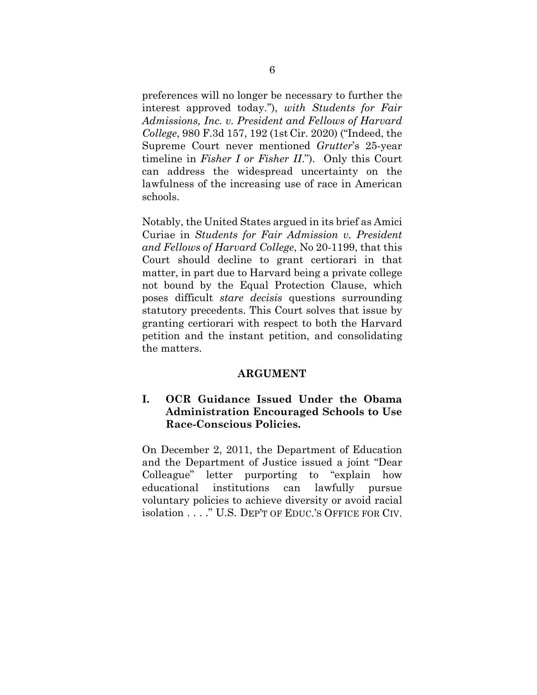preferences will no longer be necessary to further the interest approved today."), *with Students for Fair Admissions, Inc. v. President and Fellows of Harvard College*, 980 F.3d 157, 192 (1st Cir. 2020) ("Indeed, the Supreme Court never mentioned *Grutter*'s 25-year timeline in *Fisher I or Fisher II*."). Only this Court can address the widespread uncertainty on the lawfulness of the increasing use of race in American schools.

Notably, the United States argued in its brief as Amici Curiae in *Students for Fair Admission v. President and Fellows of Harvard College*, No 20-1199, that this Court should decline to grant certiorari in that matter, in part due to Harvard being a private college not bound by the Equal Protection Clause, which poses difficult *stare decisis* questions surrounding statutory precedents. This Court solves that issue by granting certiorari with respect to both the Harvard petition and the instant petition, and consolidating the matters.

#### **ARGUMENT**

## **I. OCR Guidance Issued Under the Obama Administration Encouraged Schools to Use Race-Conscious Policies.**

On December 2, 2011, the Department of Education and the Department of Justice issued a joint "Dear Colleague" letter purporting to "explain how educational institutions can lawfully pursue voluntary policies to achieve diversity or avoid racial isolation . . . ." U.S. DEP'T OF EDUC.'S OFFICE FOR CIV.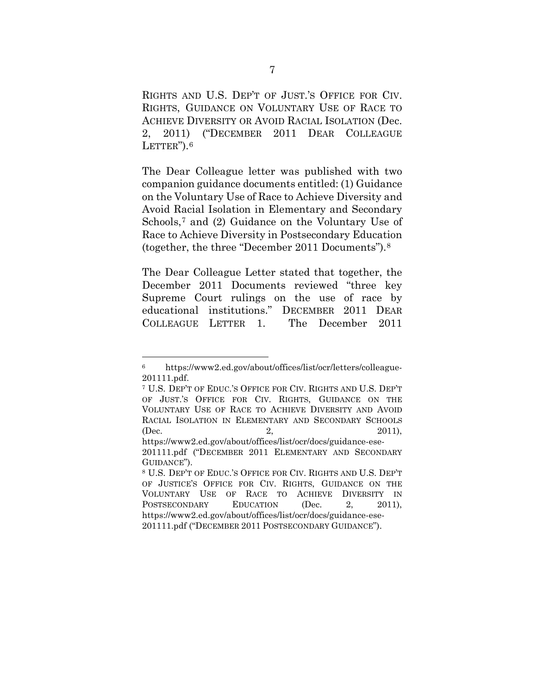RIGHTS AND U.S. DEP'T OF JUST.'S OFFICE FOR CIV. RIGHTS, GUIDANCE ON VOLUNTARY USE OF RACE TO ACHIEVE DIVERSITY OR AVOID RACIAL ISOLATION (Dec. 2, 2011) ("DECEMBER 2011 DEAR COLLEAGUE LETTER").<sup>[6](#page-15-0)</sup>

The Dear Colleague letter was published with two companion guidance documents entitled: (1) Guidance on the Voluntary Use of Race to Achieve Diversity and Avoid Racial Isolation in Elementary and Secondary Schools,<sup>[7](#page-15-1)</sup> and (2) Guidance on the Voluntary Use of Race to Achieve Diversity in Postsecondary Education (together, the three "December 2011 Documents").[8](#page-15-2)

The Dear Colleague Letter stated that together, the December 2011 Documents reviewed "three key Supreme Court rulings on the use of race by educational institutions." DECEMBER 2011 DEAR COLLEAGUE LETTER 1. The December 2011

<span id="page-15-0"></span><sup>6</sup> https://www2.ed.gov/about/offices/list/ocr/letters/colleague-201111.pdf. 7 U.S. DEP'T OF EDUC.'S OFFICE FOR CIV. RIGHTS AND U.S. DEP'T

<span id="page-15-1"></span>OF JUST.'S OFFICE FOR CIV. RIGHTS, GUIDANCE ON THE VOLUNTARY USE OF RACE TO ACHIEVE DIVERSITY AND AVOID RACIAL ISOLATION IN ELEMENTARY AND SECONDARY SCHOOLS (Dec. 2, 2011),

https://www2.ed.gov/about/offices/list/ocr/docs/guidance-ese-201111.pdf ("DECEMBER 2011 ELEMENTARY AND SECONDARY GUIDANCE").

<span id="page-15-2"></span><sup>8</sup> U.S. DEP'T OF EDUC.'S OFFICE FOR CIV. RIGHTS AND U.S. DEP'T OF JUSTICE'S OFFICE FOR CIV. RIGHTS, GUIDANCE ON THE VOLUNTARY USE OF RACE TO ACHIEVE DIVERSITY IN POSTSECONDARY EDUCATION (Dec. 2, 2011), https://www2.ed.gov/about/offices/list/ocr/docs/guidance-ese-201111.pdf ("DECEMBER 2011 POSTSECONDARY GUIDANCE").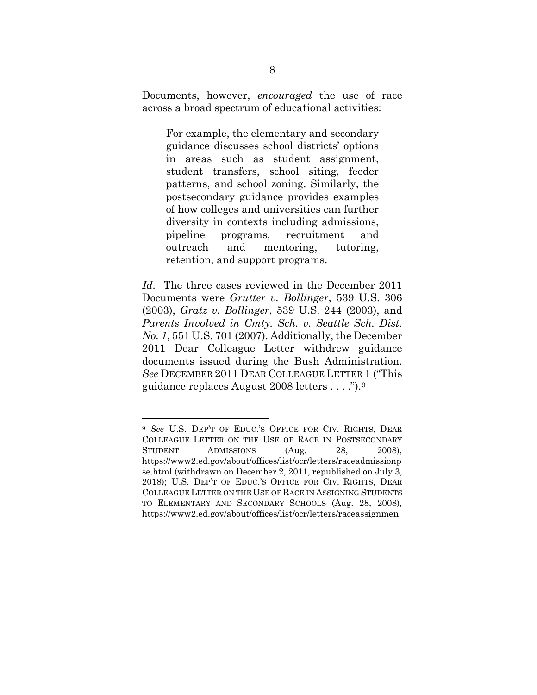Documents, however, *encouraged* the use of race across a broad spectrum of educational activities:

For example, the elementary and secondary guidance discusses school districts' options in areas such as student assignment, student transfers, school siting, feeder patterns, and school zoning. Similarly, the postsecondary guidance provides examples of how colleges and universities can further diversity in contexts including admissions, pipeline programs, recruitment and outreach and mentoring, tutoring, retention, and support programs.

*Id.* The three cases reviewed in the December 2011 Documents were *Grutter v. Bollinger*, 539 U.S. 306 (2003), *Gratz v. Bollinger*, 539 U.S. 244 (2003), and *Parents Involved in Cmty. Sch. v. Seattle Sch. Dist. No. 1*, 551 U.S. 701 (2007). Additionally, the December 2011 Dear Colleague Letter withdrew guidance documents issued during the Bush Administration. *See* DECEMBER 2011 DEAR COLLEAGUE LETTER 1 ("This guidance replaces August 2008 letters . . . .").[9](#page-16-0)

<span id="page-16-0"></span><sup>9</sup> *See* U.S. DEP'T OF EDUC.'S OFFICE FOR CIV. RIGHTS, DEAR COLLEAGUE LETTER ON THE USE OF RACE IN POSTSECONDARY STUDENT ADMISSIONS (Aug. 28, 2008), https://www2.ed.gov/about/offices/list/ocr/letters/raceadmissionp se.html (withdrawn on December 2, 2011, republished on July 3, 2018); U.S. DEP'T OF EDUC.'S OFFICE FOR CIV. RIGHTS, DEAR COLLEAGUE LETTER ON THE USE OF RACE IN ASSIGNING STUDENTS TO ELEMENTARY AND SECONDARY SCHOOLS (Aug. 28, 2008)*,*  https://www2.ed.gov/about/offices/list/ocr/letters/raceassignmen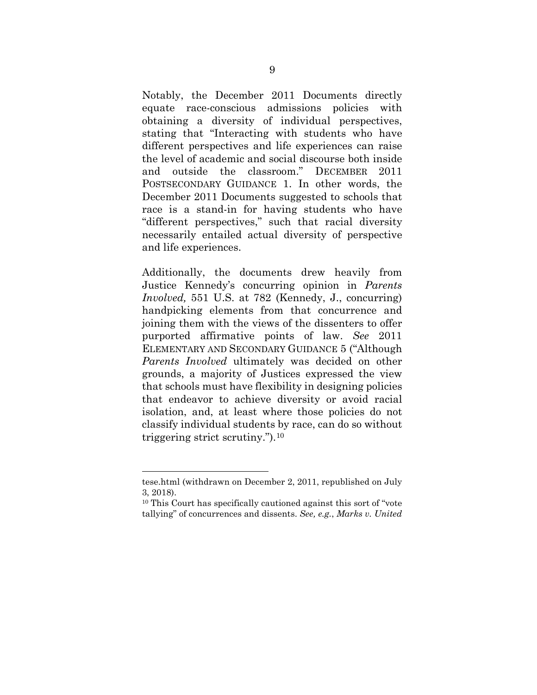Notably, the December 2011 Documents directly equate race-conscious admissions policies with obtaining a diversity of individual perspectives, stating that "Interacting with students who have different perspectives and life experiences can raise the level of academic and social discourse both inside and outside the classroom." DECEMBER 2011 POSTSECONDARY GUIDANCE 1. In other words, the December 2011 Documents suggested to schools that race is a stand-in for having students who have "different perspectives," such that racial diversity necessarily entailed actual diversity of perspective and life experiences.

Additionally, the documents drew heavily from Justice Kennedy's concurring opinion in *Parents Involved,* 551 U.S. at 782 (Kennedy, J., concurring) handpicking elements from that concurrence and joining them with the views of the dissenters to offer purported affirmative points of law. *See* 2011 ELEMENTARY AND SECONDARY GUIDANCE 5 ("Although *Parents Involved* ultimately was decided on other grounds, a majority of Justices expressed the view that schools must have flexibility in designing policies that endeavor to achieve diversity or avoid racial isolation, and, at least where those policies do not classify individual students by race, can do so without triggering strict scrutiny.").[10](#page-17-0)

tese.html (withdrawn on December 2, 2011, republished on July 3, 2018).

<span id="page-17-0"></span><sup>10</sup> This Court has specifically cautioned against this sort of "vote tallying" of concurrences and dissents. *See, e.g.*, *Marks v. United*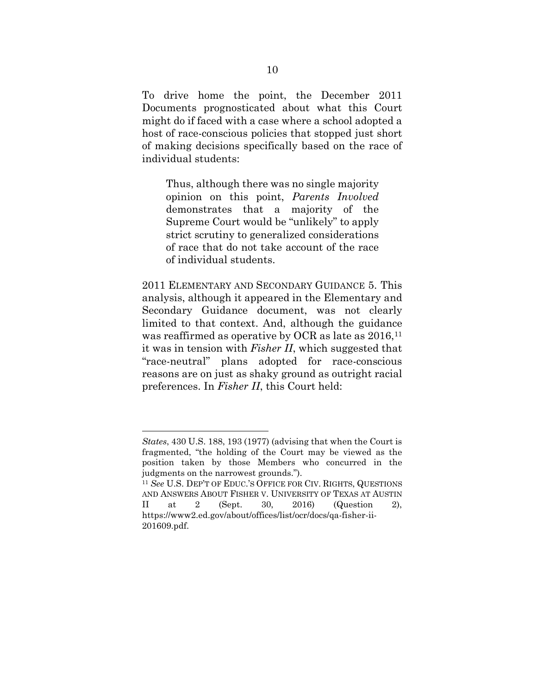To drive home the point, the December 2011 Documents prognosticated about what this Court might do if faced with a case where a school adopted a host of race-conscious policies that stopped just short of making decisions specifically based on the race of individual students:

Thus, although there was no single majority opinion on this point, *Parents Involved* demonstrates that a majority of the Supreme Court would be "unlikely" to apply strict scrutiny to generalized considerations of race that do not take account of the race of individual students.

2011 ELEMENTARY AND SECONDARY GUIDANCE 5. This analysis, although it appeared in the Elementary and Secondary Guidance document, was not clearly limited to that context. And, although the guidance was reaffirmed as operative by OCR as late as  $2016$ ,<sup>[11](#page-18-0)</sup> it was in tension with *Fisher II*, which suggested that "race-neutral" plans adopted for race-conscious reasons are on just as shaky ground as outright racial preferences. In *Fisher II*, this Court held:

*States*, 430 U.S. 188, 193 (1977) (advising that when the Court is fragmented, "the holding of the Court may be viewed as the position taken by those Members who concurred in the judgments on the narrowest grounds.").

<span id="page-18-0"></span><sup>11</sup> *See* U.S. DEP'T OF EDUC.'S OFFICE FOR CIV. RIGHTS, QUESTIONS AND ANSWERS ABOUT FISHER V. UNIVERSITY OF TEXAS AT AUSTIN II at 2 (Sept. 30, 2016) (Question 2), https://www2.ed.gov/about/offices/list/ocr/docs/qa-fisher-ii-201609.pdf.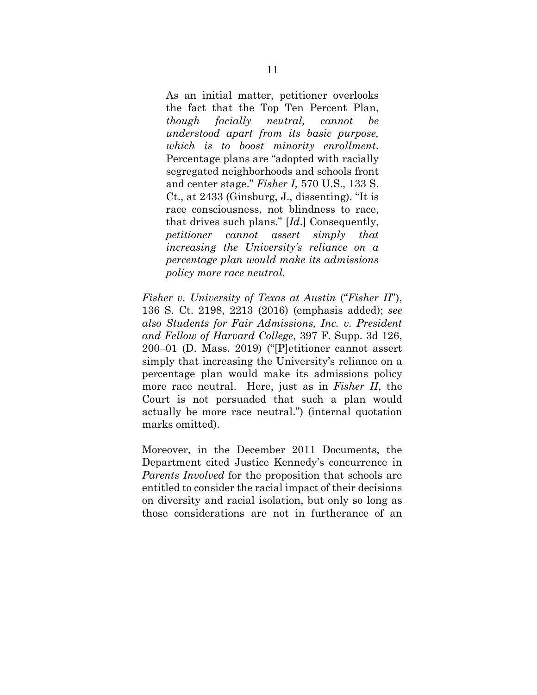As an initial matter, petitioner overlooks the fact that the Top Ten Percent Plan, *though facially neutral, cannot be understood apart from its basic purpose, which is to boost minority enrollment*. Percentage plans are "adopted with racially segregated neighborhoods and schools front and center stage." *Fisher I,* [570 U.S., 133 S.](https://1.next.westlaw.com/Link/Document/FullText?findType=Y&serNum=2030847314&pubNum=0000708&originatingDoc=I7816efc3394e11e6a795ac035416da91&refType=RP&fi=co_pp_sp_708_2433&originationContext=document&transitionType=DocumentItem&contextData=(sc.Default)#co_pp_sp_708_2433) [Ct., at 2433](https://1.next.westlaw.com/Link/Document/FullText?findType=Y&serNum=2030847314&pubNum=0000708&originatingDoc=I7816efc3394e11e6a795ac035416da91&refType=RP&fi=co_pp_sp_708_2433&originationContext=document&transitionType=DocumentItem&contextData=(sc.Default)#co_pp_sp_708_2433) (Ginsburg, J., dissenting). "It is race consciousness, not blindness to race, that drives such plans." [*Id*.] Consequently, *petitioner cannot assert simply that increasing the University's reliance on a percentage plan would make its admissions policy more race neutral.*

*Fisher v. University of Texas at Austin* ("*Fisher II*"), 136 S. Ct. 2198, 2213 (2016) (emphasis added); *see also Students for Fair Admissions, Inc. v. President and Fellow of Harvard College*, 397 F. Supp. 3d 126, 200–01 (D. Mass. 2019) ("[P]etitioner cannot assert simply that increasing the University's reliance on a percentage plan would make its admissions policy more race neutral. Here, just as in *[Fisher II](https://1.next.westlaw.com/Link/Document/FullText?findType=Y&serNum=2039223800&pubNum=0000708&originatingDoc=I69b5a500e4bb11e98edaa29474e5f579&refType=RP&originationContext=document&transitionType=DocumentItem&contextData=(sc.Search))*, the Court is not persuaded that such a plan would actually be more race neutral.") (internal quotation marks omitted).

Moreover, in the December 2011 Documents, the Department cited Justice Kennedy's concurrence in *Parents Involved* for the proposition that schools are entitled to consider the racial impact of their decisions on diversity and racial isolation, but only so long as those considerations are not in furtherance of an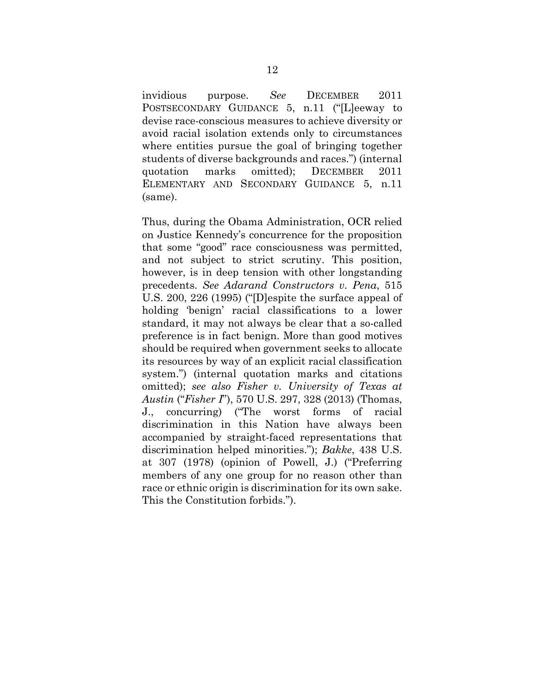invidious purpose. *See* DECEMBER 2011 POSTSECONDARY GUIDANCE 5, n.11 ("[L]eeway to devise race-conscious measures to achieve diversity or avoid racial isolation extends only to circumstances where entities pursue the goal of bringing together students of diverse backgrounds and races.") (internal quotation marks omitted); DECEMBER 2011 ELEMENTARY AND SECONDARY GUIDANCE 5, n.11 (same).

Thus, during the Obama Administration, OCR relied on Justice Kennedy's concurrence for the proposition that some "good" race consciousness was permitted, and not subject to strict scrutiny. This position, however, is in deep tension with other longstanding precedents. *See Adarand Constructors v. Pena*, 515 U.S. 200, 226 (1995) ("[D]espite the surface appeal of holding 'benign' racial classifications to a lower standard, it may not always be clear that a so-called preference is in fact benign. More than good motives should be required when government seeks to allocate its resources by way of an explicit racial classification system.") (internal quotation marks and citations omitted); *see also Fisher v. University of Texas at Austin* ("*Fisher I*"), 570 U.S. 297, 328 (2013) (Thomas, J., concurring) ("The worst forms of racial discrimination in this Nation have always been accompanied by straight-faced representations that discrimination helped minorities."); *Bakke*, 438 U.S. at 307 (1978) (opinion of Powell, J.) ("Preferring members of any one group for no reason other than race or ethnic origin is discrimination for its own sake. This the Constitution forbids.").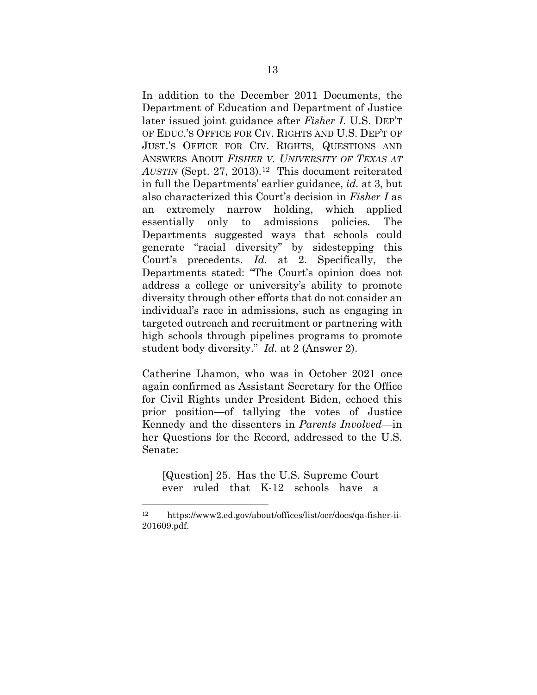In addition to the December 2011 Documents, the Department of Education and Department of Justice later issued joint guidance after *Fisher I*. U.S. DEP'T OF EDUC.'S OFFICE FOR CIV. RIGHTS AND U.S. DEP'T OF JUST.'S OFFICE FOR CIV. RIGHTS, QUESTIONS AND ANSWERS ABOUT *FISHER V. UNIVERSITY OF TEXAS AT*  AUSTIN (Sept. 27, 2013).<sup>12</sup> This document reiterated in full the Departments' earlier guidance, *id.* at 3, but also characterized this Court's decision in *Fisher I* as an extremely narrow holding, which applied essentially only to admissions policies. The Departments suggested ways that schools could generate "racial diversity" by sidestepping this Court's precedents. *Id.* at 2. Specifically, the Departments stated: "The Court's opinion does not address a college or university's ability to promote diversity through other efforts that do not consider an individual's race in admissions, such as engaging in targeted outreach and recruitment or partnering with high schools through pipelines programs to promote student body diversity." *Id.* at 2 (Answer 2).

Catherine Lhamon, who was in October 2021 once again confirmed as Assistant Secretary for the Office for Civil Rights under President Biden, echoed this prior position—of tallying the votes of Justice Kennedy and the dissenters in *Parents Involved*—in her Questions for the Record, addressed to the U.S. Senate:

[Question] 25. Has the U.S. Supreme Court ever ruled that K-12 schools have a

<span id="page-21-0"></span><sup>12</sup> https://www2.ed.gov/about/offices/list/ocr/docs/qa-fisher-ii-201609.pdf.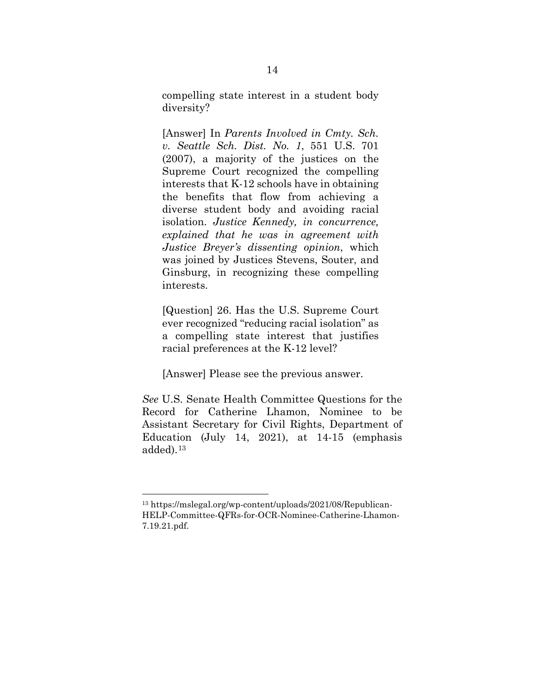compelling state interest in a student body diversity?

[Answer] In *Parents Involved in Cmty. Sch. v. Seattle Sch. Dist. No. 1*, 551 U.S. 701 (2007), a majority of the justices on the Supreme Court recognized the compelling interests that K-12 schools have in obtaining the benefits that flow from achieving a diverse student body and avoiding racial isolation. *Justice Kennedy, in concurrence, explained that he was in agreement with Justice Breyer's dissenting opinion*, which was joined by Justices Stevens, Souter, and Ginsburg, in recognizing these compelling interests.

[Question] 26. Has the U.S. Supreme Court ever recognized "reducing racial isolation" as a compelling state interest that justifies racial preferences at the K-12 level?

[Answer] Please see the previous answer.

*See* U.S. Senate Health Committee Questions for the Record for Catherine Lhamon, Nominee to be Assistant Secretary for Civil Rights, Department of Education (July 14, 2021), at 14-15 (emphasis added).[13](#page-22-0)

<span id="page-22-0"></span><sup>13</sup> https://mslegal.org/wp-content/uploads/2021/08/Republican-HELP-Committee-QFRs-for-OCR-Nominee-Catherine-Lhamon-7.19.21.pdf.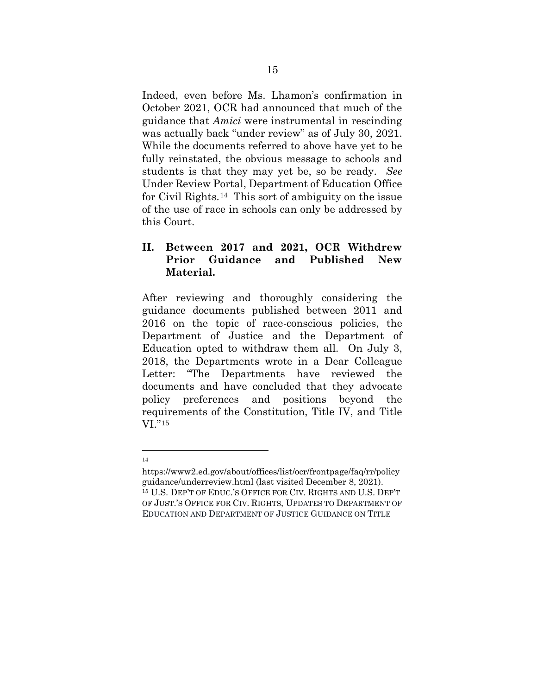Indeed, even before Ms. Lhamon's confirmation in October 2021, OCR had announced that much of the guidance that *Amici* were instrumental in rescinding was actually back "under review" as of July 30, 2021. While the documents referred to above have yet to be fully reinstated, the obvious message to schools and students is that they may yet be, so be ready. *See* Under Review Portal, Department of Education Office for Civil Rights.[14](#page-23-0) This sort of ambiguity on the issue of the use of race in schools can only be addressed by this Court.

# **II. Between 2017 and 2021, OCR Withdrew Prior Guidance and Published New Material.**

After reviewing and thoroughly considering the guidance documents published between 2011 and 2016 on the topic of race-conscious policies, the Department of Justice and the Department of Education opted to withdraw them all. On July 3, 2018, the Departments wrote in a Dear Colleague Letter: "The Departments have reviewed the documents and have concluded that they advocate policy preferences and positions beyond the requirements of the Constitution, Title IV, and Title VI."[15](#page-23-1)

<sup>14</sup>

<span id="page-23-1"></span><span id="page-23-0"></span>https://www2.ed.gov/about/offices/list/ocr/frontpage/faq/rr/policy guidance/underreview.html (last visited December 8, 2021). <sup>15</sup> U.S. DEP'T OF EDUC.'S OFFICE FOR CIV. RIGHTS AND U.S. DEP'T OF JUST.'S OFFICE FOR CIV. RIGHTS, UPDATES TO DEPARTMENT OF EDUCATION AND DEPARTMENT OF JUSTICE GUIDANCE ON TITLE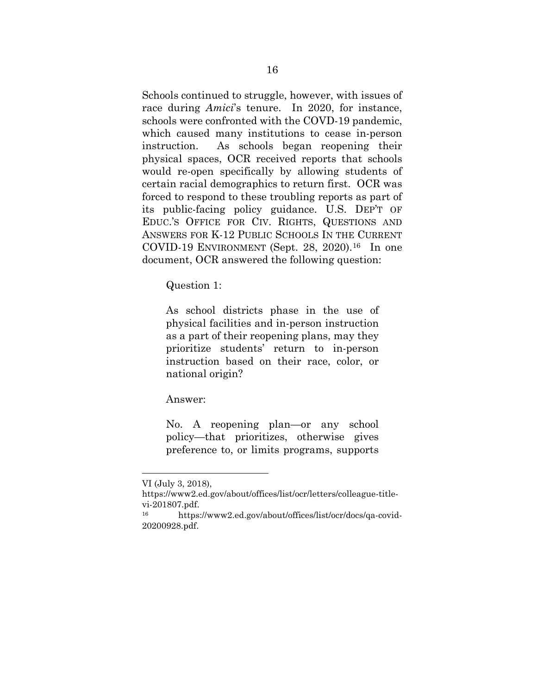Schools continued to struggle, however, with issues of race during *Amici*'s tenure. In 2020, for instance, schools were confronted with the COVD-19 pandemic, which caused many institutions to cease in-person instruction. As schools began reopening their physical spaces, OCR received reports that schools would re-open specifically by allowing students of certain racial demographics to return first. OCR was forced to respond to these troubling reports as part of its public-facing policy guidance. U.S. DEP'T OF EDUC.'S OFFICE FOR CIV. RIGHTS, QUESTIONS AND ANSWERS FOR K-12 PUBLIC SCHOOLS IN THE CURRENT COVID-19 ENVIRONMENT (Sept. 28, 2020).[16](#page-24-0) In one document, OCR answered the following question:

Question 1:

As school districts phase in the use of physical facilities and in-person instruction as a part of their reopening plans, may they prioritize students' return to in-person instruction based on their race, color, or national origin?

Answer:

No. A reopening plan—or any school policy—that prioritizes, otherwise gives preference to, or limits programs, supports

VI (July 3, 2018),

https://www2.ed.gov/about/offices/list/ocr/letters/colleague-titlevi-201807.pdf.<br>
<sup>16</sup> https://www2.ed.gov/about/offices/list/ocr/docs/qa-covid-

<span id="page-24-0"></span><sup>20200928.</sup>pdf.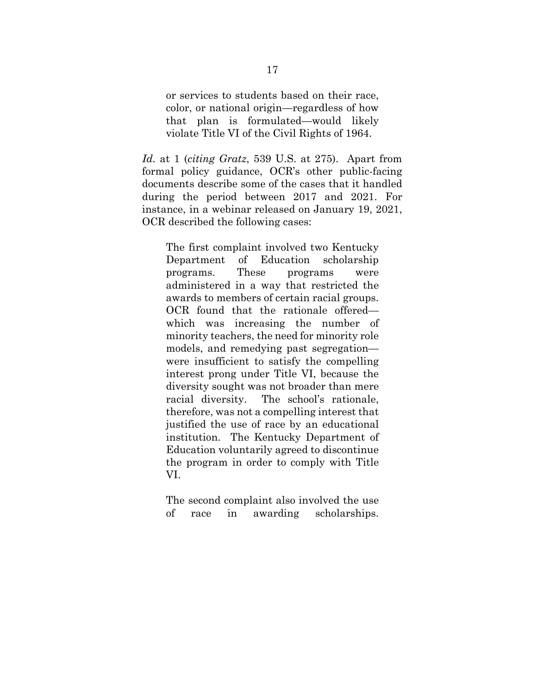or services to students based on their race, color, or national origin—regardless of how that plan is formulated—would likely violate Title VI of the Civil Rights of 1964.

*Id.* at 1 (*citing Gratz*, 539 U.S. at 275). Apart from formal policy guidance, OCR's other public-facing documents describe some of the cases that it handled during the period between 2017 and 2021. For instance, in a webinar released on January 19, 2021, OCR described the following cases:

The first complaint involved two Kentucky Department of Education scholarship programs. These programs were administered in a way that restricted the awards to members of certain racial groups. OCR found that the rationale offered which was increasing the number of minority teachers, the need for minority role models, and remedying past segregation were insufficient to satisfy the compelling interest prong under Title VI, because the diversity sought was not broader than mere racial diversity. The school's rationale, therefore, was not a compelling interest that justified the use of race by an educational institution. The Kentucky Department of Education voluntarily agreed to discontinue the program in order to comply with Title VI.

The second complaint also involved the use of race in awarding scholarships.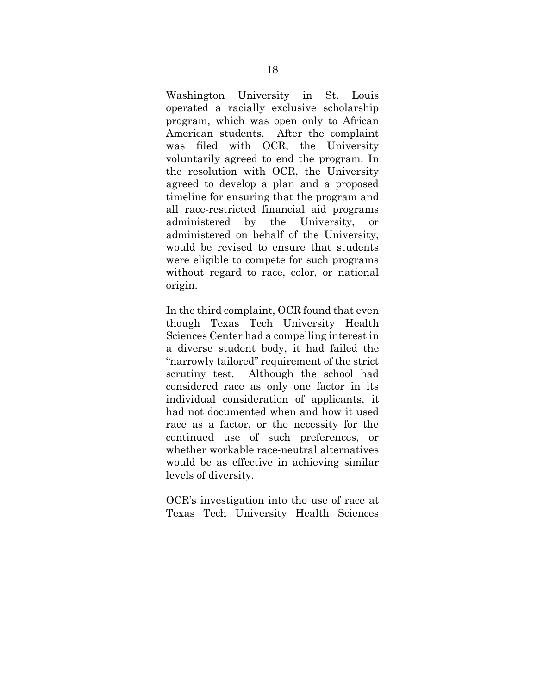Washington University in St. Louis operated a racially exclusive scholarship program, which was open only to African American students. After the complaint was filed with OCR, the University voluntarily agreed to end the program. In the resolution with OCR, the University agreed to develop a plan and a proposed timeline for ensuring that the program and all race-restricted financial aid programs administered by the University, or administered on behalf of the University, would be revised to ensure that students were eligible to compete for such programs without regard to race, color, or national origin.

In the third complaint, OCR found that even though Texas Tech University Health Sciences Center had a compelling interest in a diverse student body, it had failed the "narrowly tailored" requirement of the strict scrutiny test. Although the school had considered race as only one factor in its individual consideration of applicants, it had not documented when and how it used race as a factor, or the necessity for the continued use of such preferences, or whether workable race-neutral alternatives would be as effective in achieving similar levels of diversity.

OCR's investigation into the use of race at Texas Tech University Health Sciences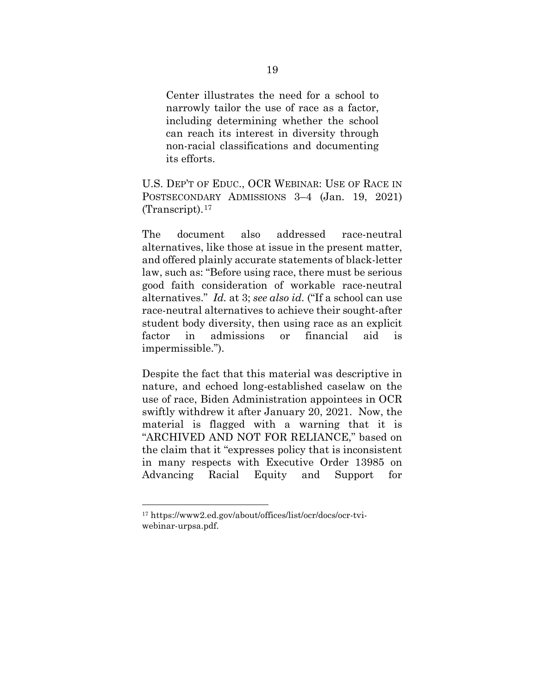Center illustrates the need for a school to narrowly tailor the use of race as a factor, including determining whether the school can reach its interest in diversity through non-racial classifications and documenting its efforts.

U.S. DEP'T OF EDUC., OCR WEBINAR: USE OF RACE IN POSTSECONDARY ADMISSIONS 3–4 (Jan. 19, 2021) (Transcript).[17](#page-27-0) 

The document also addressed race-neutral alternatives, like those at issue in the present matter, and offered plainly accurate statements of black-letter law, such as: "Before using race, there must be serious good faith consideration of workable race-neutral alternatives." *Id.* at 3; *see also id.* ("If a school can use race-neutral alternatives to achieve their sought-after student body diversity, then using race as an explicit factor in admissions or financial aid is impermissible.").

Despite the fact that this material was descriptive in nature, and echoed long-established caselaw on the use of race, Biden Administration appointees in OCR swiftly withdrew it after January 20, 2021. Now, the material is flagged with a warning that it is "ARCHIVED AND NOT FOR RELIANCE," based on the claim that it "expresses policy that is inconsistent in many respects with Executive Order 13985 on Advancing Racial Equity and Support for

<span id="page-27-0"></span><sup>17</sup> https://www2.ed.gov/about/offices/list/ocr/docs/ocr-tviwebinar-urpsa.pdf.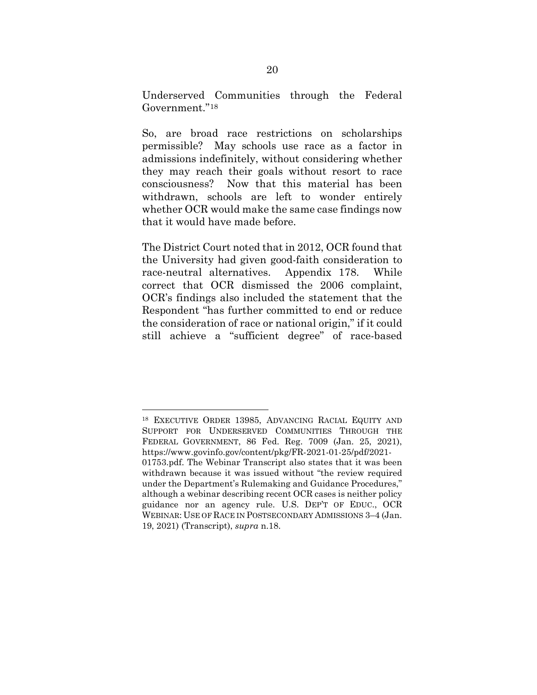Underserved Communities through the Federal Government."[18](#page-28-0) 

So, are broad race restrictions on scholarships permissible? May schools use race as a factor in admissions indefinitely, without considering whether they may reach their goals without resort to race consciousness? Now that this material has been withdrawn, schools are left to wonder entirely whether OCR would make the same case findings now that it would have made before.

The District Court noted that in 2012, OCR found that the University had given good-faith consideration to race-neutral alternatives. Appendix 178. While correct that OCR dismissed the 2006 complaint, OCR's findings also included the statement that the Respondent "has further committed to end or reduce the consideration of race or national origin," if it could still achieve a "sufficient degree" of race-based

<span id="page-28-0"></span>18 EXECUTIVE ORDER 13985, ADVANCING RACIAL EQUITY AND SUPPORT FOR UNDERSERVED COMMUNITIES THROUGH THE FEDERAL GOVERNMENT, 86 Fed. Reg. 7009 (Jan. 25, 2021), https://www.govinfo.gov/content/pkg/FR-2021-01-25/pdf/2021- 01753.pdf. The Webinar Transcript also states that it was been withdrawn because it was issued without "the review required under the Department's Rulemaking and Guidance Procedures," although a webinar describing recent OCR cases is neither policy guidance nor an agency rule. U.S. DEP'T OF EDUC., OCR WEBINAR: USE OF RACE IN POSTSECONDARY ADMISSIONS 3–4 (Jan. 19, 2021) (Transcript), *supra* n.18.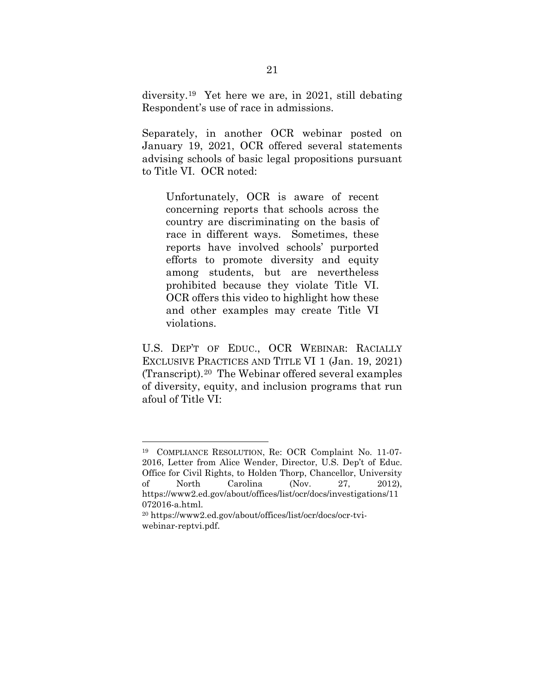diversity.[19](#page-29-0) Yet here we are, in 2021, still debating Respondent's use of race in admissions.

Separately, in another OCR webinar posted on January 19, 2021, OCR offered several statements advising schools of basic legal propositions pursuant to Title VI. OCR noted:

Unfortunately, OCR is aware of recent concerning reports that schools across the country are discriminating on the basis of race in different ways. Sometimes, these reports have involved schools' purported efforts to promote diversity and equity among students, but are nevertheless prohibited because they violate Title VI. OCR offers this video to highlight how these and other examples may create Title VI violations.

U.S. DEP'T OF EDUC., OCR WEBINAR: RACIALLY EXCLUSIVE PRACTICES AND TITLE VI 1 (Jan. 19, 2021) (Transcript).[20](#page-29-1) The Webinar offered several examples of diversity, equity, and inclusion programs that run afoul of Title VI:

<span id="page-29-0"></span><sup>19</sup> COMPLIANCE RESOLUTION, Re: OCR Complaint No. 11-07- 2016, Letter from Alice Wender, Director, U.S. Dep't of Educ. Office for Civil Rights, to Holden Thorp, Chancellor, University of North Carolina (Nov. 27, 2012), https://www2.ed.gov/about/offices/list/ocr/docs/investigations/11 072016-a.html.

<span id="page-29-1"></span><sup>20</sup> https://www2.ed.gov/about/offices/list/ocr/docs/ocr-tviwebinar-reptvi.pdf.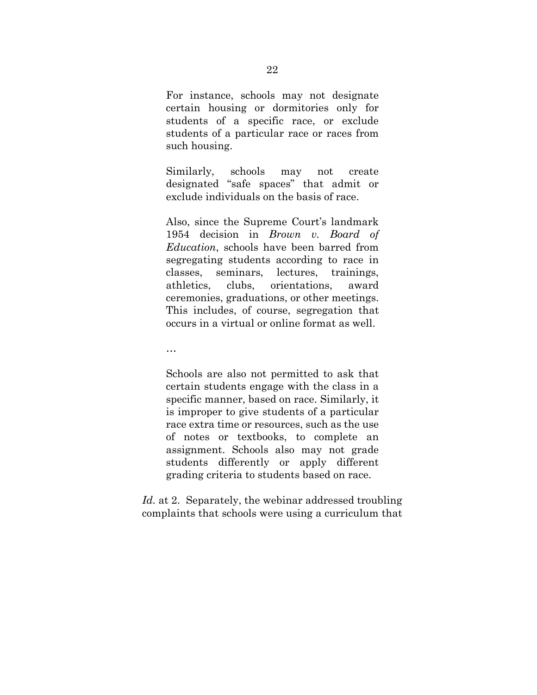For instance, schools may not designate certain housing or dormitories only for students of a specific race, or exclude students of a particular race or races from such housing.

Similarly, schools may not create designated "safe spaces" that admit or exclude individuals on the basis of race.

Also, since the Supreme Court's landmark 1954 decision in *Brown v. Board of Education*, schools have been barred from segregating students according to race in classes, seminars, lectures, trainings, athletics, clubs, orientations, award ceremonies, graduations, or other meetings. This includes, of course, segregation that occurs in a virtual or online format as well.

…

Schools are also not permitted to ask that certain students engage with the class in a specific manner, based on race. Similarly, it is improper to give students of a particular race extra time or resources, such as the use of notes or textbooks, to complete an assignment. Schools also may not grade students differently or apply different grading criteria to students based on race.

*Id.* at 2. Separately, the webinar addressed troubling complaints that schools were using a curriculum that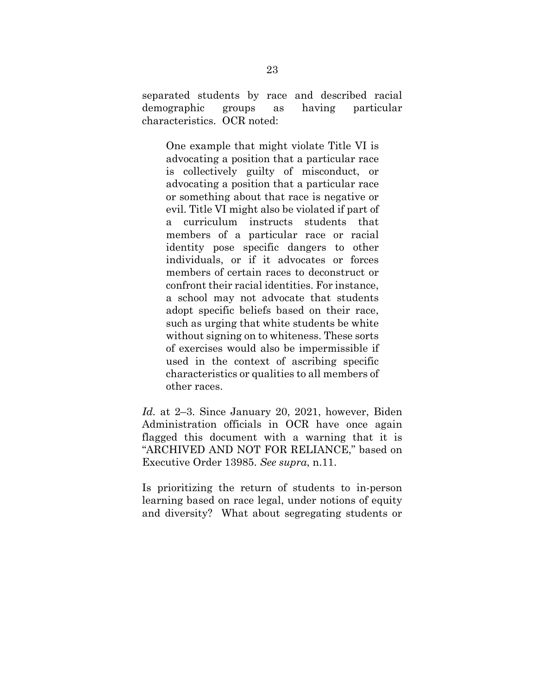separated students by race and described racial demographic groups as having particular characteristics. OCR noted:

One example that might violate Title VI is advocating a position that a particular race is collectively guilty of misconduct, or advocating a position that a particular race or something about that race is negative or evil. Title VI might also be violated if part of a curriculum instructs students that members of a particular race or racial identity pose specific dangers to other individuals, or if it advocates or forces members of certain races to deconstruct or confront their racial identities. For instance, a school may not advocate that students adopt specific beliefs based on their race, such as urging that white students be white without signing on to whiteness. These sorts of exercises would also be impermissible if used in the context of ascribing specific characteristics or qualities to all members of other races.

*Id.* at 2–3. Since January 20, 2021, however, Biden Administration officials in OCR have once again flagged this document with a warning that it is "ARCHIVED AND NOT FOR RELIANCE," based on Executive Order 13985. *See supra*, n.11.

Is prioritizing the return of students to in-person learning based on race legal, under notions of equity and diversity? What about segregating students or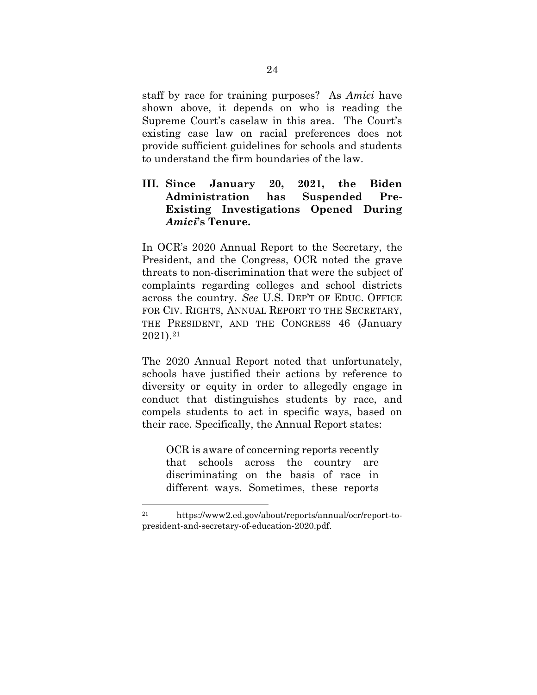staff by race for training purposes? As *Amici* have shown above, it depends on who is reading the Supreme Court's caselaw in this area. The Court's existing case law on racial preferences does not provide sufficient guidelines for schools and students to understand the firm boundaries of the law.

# **III. Since January 20, 2021, the Biden Administration has Suspended Pre-Existing Investigations Opened During**  *Amici***'s Tenure.**

In OCR's 2020 Annual Report to the Secretary, the President, and the Congress, OCR noted the grave threats to non-discrimination that were the subject of complaints regarding colleges and school districts across the country. *See* U.S. DEP'T OF EDUC. OFFICE FOR CIV. RIGHTS, ANNUAL REPORT TO THE SECRETARY, THE PRESIDENT, AND THE CONGRESS 46 (January 2021).[21](#page-32-0)

The 2020 Annual Report noted that unfortunately, schools have justified their actions by reference to diversity or equity in order to allegedly engage in conduct that distinguishes students by race, and compels students to act in specific ways, based on their race. Specifically, the Annual Report states:

OCR is aware of concerning reports recently that schools across the country are discriminating on the basis of race in different ways. Sometimes, these reports

<span id="page-32-0"></span><sup>21</sup> https://www2.ed.gov/about/reports/annual/ocr/report-topresident-and-secretary-of-education-2020.pdf.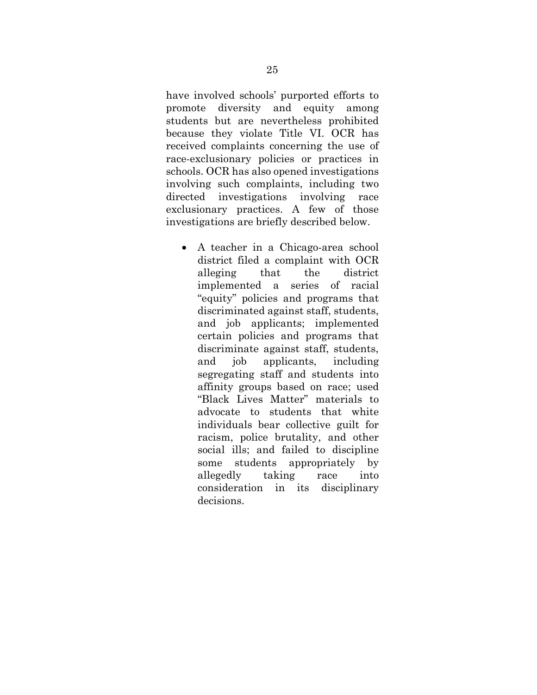have involved schools' purported efforts to promote diversity and equity among students but are nevertheless prohibited because they violate Title VI. OCR has received complaints concerning the use of race-exclusionary policies or practices in schools. OCR has also opened investigations involving such complaints, including two directed investigations involving race exclusionary practices. A few of those investigations are briefly described below.

• A teacher in a Chicago-area school district filed a complaint with OCR alleging that the district implemented a series of racial "equity" policies and programs that discriminated against staff, students, and job applicants; implemented certain policies and programs that discriminate against staff, students, and job applicants, including segregating staff and students into affinity groups based on race; used "Black Lives Matter" materials to advocate to students that white individuals bear collective guilt for racism, police brutality, and other social ills; and failed to discipline some students appropriately by allegedly taking race into consideration in its disciplinary decisions.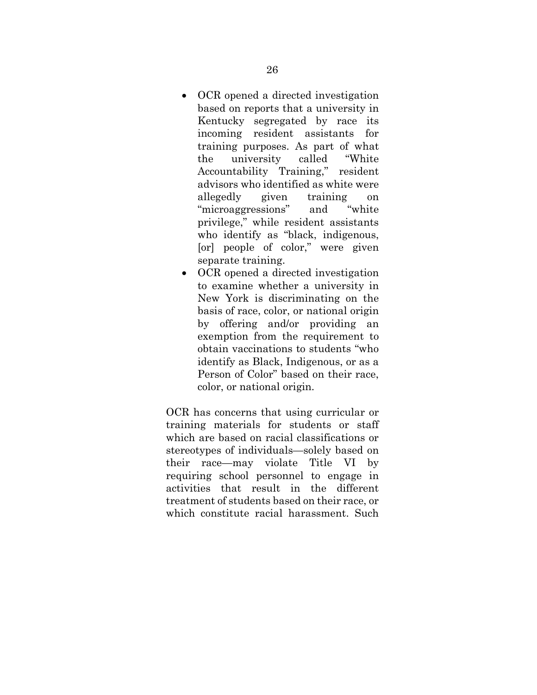- OCR opened a directed investigation based on reports that a university in Kentucky segregated by race its incoming resident assistants for training purposes. As part of what the university called "White Accountability Training," resident advisors who identified as white were allegedly given training on "microaggressions" and "white privilege," while resident assistants who identify as "black, indigenous, [or] people of color," were given separate training.
- OCR opened a directed investigation to examine whether a university in New York is discriminating on the basis of race, color, or national origin by offering and/or providing an exemption from the requirement to obtain vaccinations to students "who identify as Black, Indigenous, or as a Person of Color" based on their race, color, or national origin.

OCR has concerns that using curricular or training materials for students or staff which are based on racial classifications or stereotypes of individuals—solely based on their race—may violate Title VI by requiring school personnel to engage in activities that result in the different treatment of students based on their race, or which constitute racial harassment. Such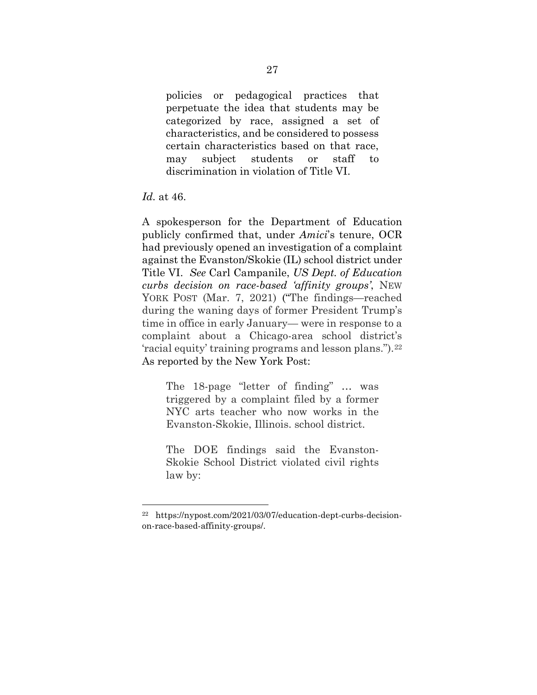policies or pedagogical practices that perpetuate the idea that students may be categorized by race, assigned a set of characteristics, and be considered to possess certain characteristics based on that race, may subject students or staff to discrimination in violation of Title VI.

*Id.* at 46.

A spokesperson for the Department of Education publicly confirmed that, under *Amici*'s tenure, OCR had previously opened an investigation of a complaint against the Evanston/Skokie (IL) school district under Title VI. *See* Carl Campanile, *US Dept. of Education curbs decision on race-based 'affinity groups'*, NEW YORK POST (Mar. 7, 2021) ("The findings—reached during the waning days of former President Trump's time in office in early January— were in response to a complaint about a Chicago-area school district's 'racial equity' training programs and lesson plans.").[22](#page-35-0)  As reported by the New York Post:

The 18-page "letter of finding" … was triggered by a complaint filed by a former NYC arts teacher who now works in the Evanston-Skokie, Illinois. school district.

The DOE findings said the Evanston-Skokie School District violated civil rights law by:

<span id="page-35-0"></span><sup>22</sup> https://nypost.com/2021/03/07/education-dept-curbs-decisionon-race-based-affinity-groups/.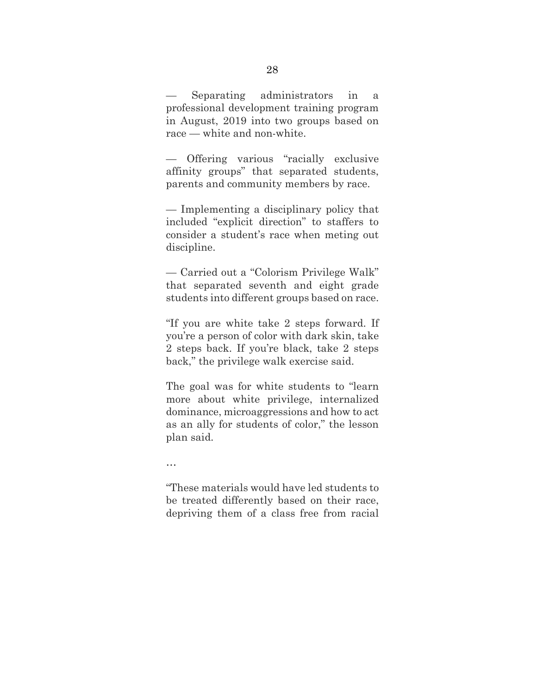Separating administrators in a professional development training program in August, 2019 into two groups based on race — white and non-white.

— Offering various "racially exclusive affinity groups" that separated students, parents and community members by race.

— Implementing a disciplinary policy that included "explicit direction" to staffers to consider a student's race when meting out discipline.

— Carried out a "Colorism Privilege Walk" that separated seventh and eight grade students into different groups based on race.

"If you are white take 2 steps forward. If you're a person of color with dark skin, take 2 steps back. If you're black, take 2 steps back," the privilege walk exercise said.

The goal was for white students to "learn more about white privilege, internalized dominance, microaggressions and how to act as an ally for students of color," the lesson plan said.

…

"These materials would have led students to be treated differently based on their race, depriving them of a class free from racial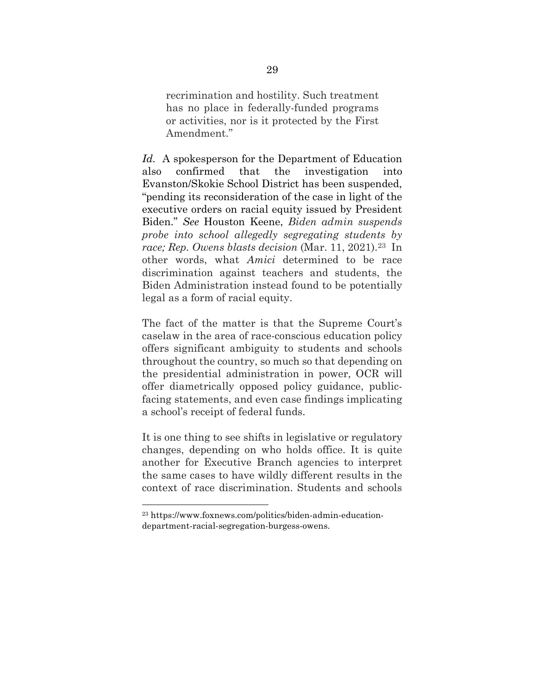recrimination and hostility. Such treatment has no place in federally-funded programs or activities, nor is it protected by the First Amendment."

*Id.* A spokesperson for the Department of Education also confirmed that the investigation into Evanston/Skokie School District has been suspended, "pending its reconsideration of the case in light of the executive orders on racial equity issued by President Biden." *See* Houston Keene, *Biden admin suspends probe into school allegedly segregating students by race; Rep. Owens blasts decision* (Mar. 11, 2021).[23](#page-37-0) In other words, what *Amici* determined to be race discrimination against teachers and students, the Biden Administration instead found to be potentially legal as a form of racial equity.

The fact of the matter is that the Supreme Court's caselaw in the area of race-conscious education policy offers significant ambiguity to students and schools throughout the country, so much so that depending on the presidential administration in power, OCR will offer diametrically opposed policy guidance, publicfacing statements, and even case findings implicating a school's receipt of federal funds.

It is one thing to see shifts in legislative or regulatory changes, depending on who holds office. It is quite another for Executive Branch agencies to interpret the same cases to have wildly different results in the context of race discrimination. Students and schools

<span id="page-37-0"></span><sup>23</sup> https://www.foxnews.com/politics/biden-admin-educationdepartment-racial-segregation-burgess-owens.